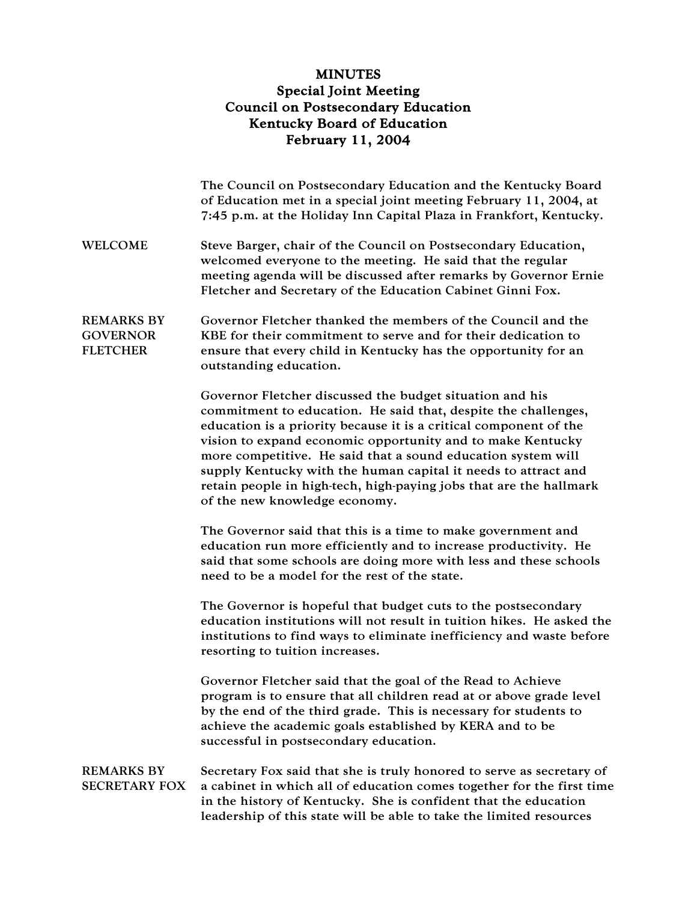## MINUTES Special Joint Meeting Council on Postsecondary Education Kentucky Board of Education February 11, 2004

|                                                         | The Council on Postsecondary Education and the Kentucky Board<br>of Education met in a special joint meeting February 11, 2004, at<br>7:45 p.m. at the Holiday Inn Capital Plaza in Frankfort, Kentucky.                                                                                                                                                                                                                                                                                               |
|---------------------------------------------------------|--------------------------------------------------------------------------------------------------------------------------------------------------------------------------------------------------------------------------------------------------------------------------------------------------------------------------------------------------------------------------------------------------------------------------------------------------------------------------------------------------------|
| <b>WELCOME</b>                                          | Steve Barger, chair of the Council on Postsecondary Education,<br>welcomed everyone to the meeting. He said that the regular<br>meeting agenda will be discussed after remarks by Governor Ernie<br>Fletcher and Secretary of the Education Cabinet Ginni Fox.                                                                                                                                                                                                                                         |
| <b>REMARKS BY</b><br><b>GOVERNOR</b><br><b>FLETCHER</b> | Governor Fletcher thanked the members of the Council and the<br>KBE for their commitment to serve and for their dedication to<br>ensure that every child in Kentucky has the opportunity for an<br>outstanding education.                                                                                                                                                                                                                                                                              |
|                                                         | Governor Fletcher discussed the budget situation and his<br>commitment to education. He said that, despite the challenges,<br>education is a priority because it is a critical component of the<br>vision to expand economic opportunity and to make Kentucky<br>more competitive. He said that a sound education system will<br>supply Kentucky with the human capital it needs to attract and<br>retain people in high-tech, high-paying jobs that are the hallmark<br>of the new knowledge economy. |
|                                                         | The Governor said that this is a time to make government and<br>education run more efficiently and to increase productivity. He<br>said that some schools are doing more with less and these schools<br>need to be a model for the rest of the state.                                                                                                                                                                                                                                                  |
|                                                         | The Governor is hopeful that budget cuts to the postsecondary<br>education institutions will not result in tuition hikes. He asked the<br>institutions to find ways to eliminate inefficiency and waste before<br>resorting to tuition increases.                                                                                                                                                                                                                                                      |
|                                                         | Governor Fletcher said that the goal of the Read to Achieve<br>program is to ensure that all children read at or above grade level<br>by the end of the third grade. This is necessary for students to<br>achieve the academic goals established by KERA and to be<br>successful in postsecondary education.                                                                                                                                                                                           |
| <b>REMARKS BY</b><br><b>SECRETARY FOX</b>               | Secretary Fox said that she is truly honored to serve as secretary of<br>a cabinet in which all of education comes together for the first time<br>in the history of Kentucky. She is confident that the education<br>leadership of this state will be able to take the limited resources                                                                                                                                                                                                               |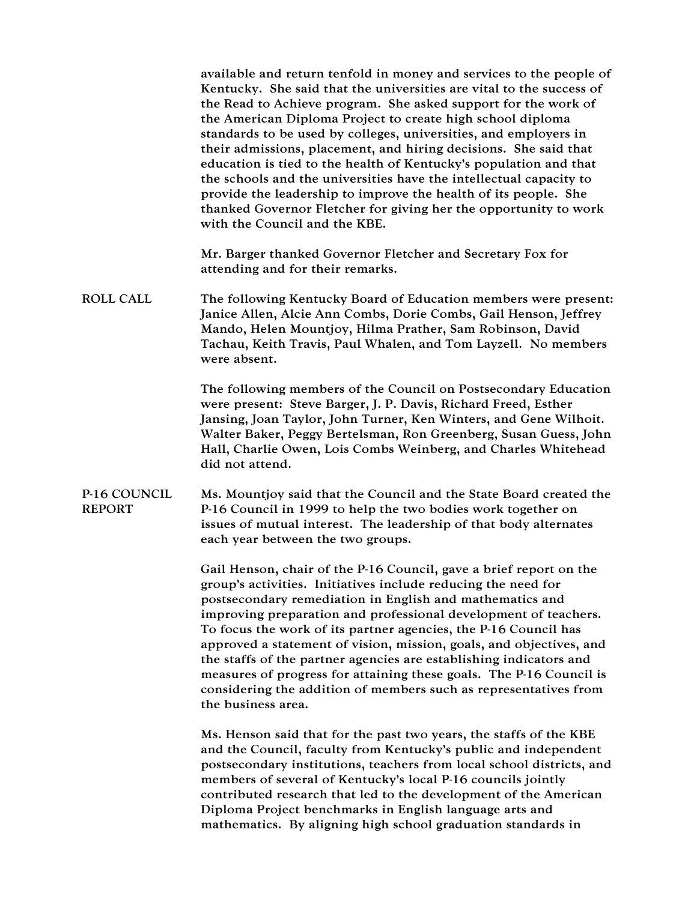available and return tenfold in money and services to the people of Kentucky. She said that the universities are vital to the success of the Read to Achieve program. She asked support for the work of the American Diploma Project to create high school diploma standards to be used by colleges, universities, and employers in their admissions, placement, and hiring decisions. She said that education is tied to the health of Kentucky's population and that the schools and the universities have the intellectual capacity to provide the leadership to improve the health of its people. She thanked Governor Fletcher for giving her the opportunity to work with the Council and the KBE.

Mr. Barger thanked Governor Fletcher and Secretary Fox for attending and for their remarks.

ROLL CALL The following Kentucky Board of Education members were present: Janice Allen, Alcie Ann Combs, Dorie Combs, Gail Henson, Jeffrey Mando, Helen Mountjoy, Hilma Prather, Sam Robinson, David Tachau, Keith Travis, Paul Whalen, and Tom Layzell. No members were absent.

> The following members of the Council on Postsecondary Education were present: Steve Barger, J. P. Davis, Richard Freed, Esther Jansing, Joan Taylor, John Turner, Ken Winters, and Gene Wilhoit. Walter Baker, Peggy Bertelsman, Ron Greenberg, Susan Guess, John Hall, Charlie Owen, Lois Combs Weinberg, and Charles Whitehead did not attend.

P-16 COUNCIL REPORT Ms. Mountjoy said that the Council and the State Board created the P-16 Council in 1999 to help the two bodies work together on issues of mutual interest. The leadership of that body alternates each year between the two groups.

> Gail Henson, chair of the P-16 Council, gave a brief report on the group's activities. Initiatives include reducing the need for postsecondary remediation in English and mathematics and improving preparation and professional development of teachers. To focus the work of its partner agencies, the P-16 Council has approved a statement of vision, mission, goals, and objectives, and the staffs of the partner agencies are establishing indicators and measures of progress for attaining these goals. The P-16 Council is considering the addition of members such as representatives from the business area.

Ms. Henson said that for the past two years, the staffs of the KBE and the Council, faculty from Kentucky's public and independent postsecondary institutions, teachers from local school districts, and members of several of Kentucky's local P-16 councils jointly contributed research that led to the development of the American Diploma Project benchmarks in English language arts and mathematics. By aligning high school graduation standards in